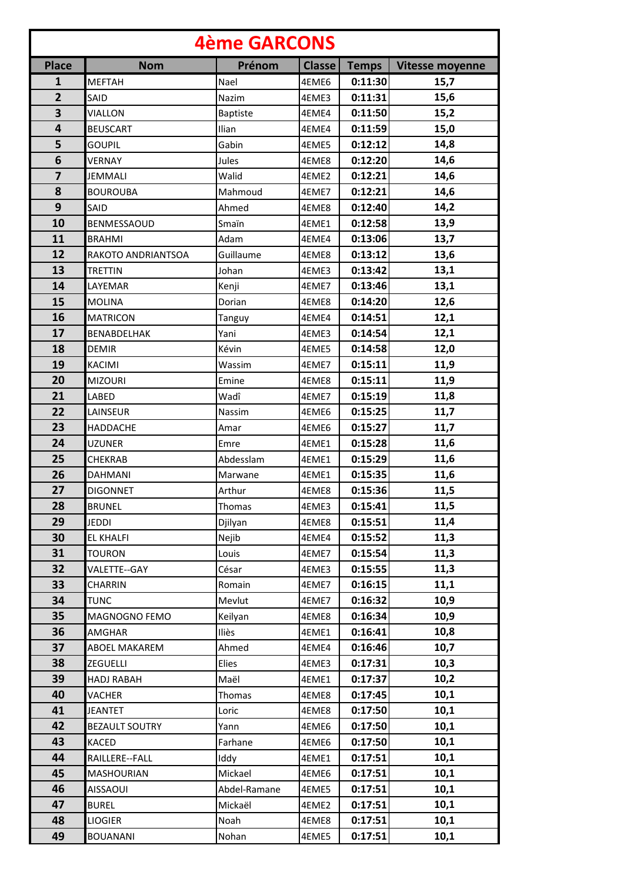| <b>4ème GARCONS</b>     |                       |                 |               |              |                        |  |  |  |
|-------------------------|-----------------------|-----------------|---------------|--------------|------------------------|--|--|--|
| <b>Place</b>            | <b>Nom</b>            | Prénom          | <b>Classe</b> | <b>Temps</b> | <b>Vitesse moyenne</b> |  |  |  |
| 1                       | <b>MEFTAH</b>         | Nael            | 4EME6         | 0:11:30      | 15,7                   |  |  |  |
| $\overline{2}$          | SAID                  | Nazim           | 4EME3         | 0:11:31      | 15,6                   |  |  |  |
| $\overline{\mathbf{3}}$ | <b>VIALLON</b>        | <b>Baptiste</b> | 4EME4         | 0:11:50      | 15,2                   |  |  |  |
| 4                       | <b>BEUSCART</b>       | Ilian           | 4EME4         | 0:11:59      | 15,0                   |  |  |  |
| 5                       | <b>GOUPIL</b>         | Gabin           | 4EME5         | 0:12:12      | 14,8                   |  |  |  |
| 6                       | <b>VERNAY</b>         | Jules           | 4EME8         | 0:12:20      | 14,6                   |  |  |  |
| $\overline{\mathbf{z}}$ | <b>JEMMALI</b>        | Walid           | 4EME2         | 0:12:21      | 14,6                   |  |  |  |
| 8                       | <b>BOUROUBA</b>       | Mahmoud         | 4EME7         | 0:12:21      | 14,6                   |  |  |  |
| 9                       | SAID                  | Ahmed           | 4EME8         | 0:12:40      | 14,2                   |  |  |  |
| 10                      | BENMESSAOUD           | Smaïn           | 4EME1         | 0:12:58      | 13,9                   |  |  |  |
| 11                      | <b>BRAHMI</b>         | Adam            | 4EME4         | 0:13:06      | 13,7                   |  |  |  |
| 12                      | RAKOTO ANDRIANTSOA    | Guillaume       | 4EME8         | 0:13:12      | 13,6                   |  |  |  |
| 13                      | <b>TRETTIN</b>        | Johan           | 4EME3         | 0:13:42      | 13,1                   |  |  |  |
| 14                      | LAYEMAR               | Kenji           | 4EME7         | 0:13:46      | 13,1                   |  |  |  |
| 15                      | <b>MOLINA</b>         | Dorian          | 4EME8         | 0:14:20      | 12,6                   |  |  |  |
| 16                      | <b>MATRICON</b>       | Tanguy          | 4EME4         | 0:14:51      | 12,1                   |  |  |  |
| 17                      | BENABDELHAK           | Yani            | 4EME3         | 0:14:54      | 12,1                   |  |  |  |
| 18                      | <b>DEMIR</b>          | Kévin           | 4EME5         | 0:14:58      | 12,0                   |  |  |  |
| 19                      | <b>KACIMI</b>         | Wassim          | 4EME7         | 0:15:11      | 11,9                   |  |  |  |
| 20                      | <b>MIZOURI</b>        | Emine           | 4EME8         | 0:15:11      | 11,9                   |  |  |  |
| 21                      | LABED                 | Wadî            | 4EME7         | 0:15:19      | 11,8                   |  |  |  |
| 22                      | LAINSEUR              | Nassim          | 4EME6         | 0:15:25      | 11,7                   |  |  |  |
| 23                      | HADDACHE              | Amar            | 4EME6         | 0:15:27      | 11,7                   |  |  |  |
| 24                      | <b>UZUNER</b>         | Emre            | 4EME1         | 0:15:28      | 11,6                   |  |  |  |
| 25                      | <b>CHEKRAB</b>        | Abdesslam       | 4EME1         | 0:15:29      | 11,6                   |  |  |  |
| 26                      | <b>DAHMANI</b>        | Marwane         | 4EME1         | 0:15:35      | 11,6                   |  |  |  |
| 27                      | <b>DIGONNET</b>       | Arthur          | 4EME8         | 0:15:36      | 11,5                   |  |  |  |
| 28                      | <b>BRUNEL</b>         | Thomas          | 4EME3         | 0:15:41      | 11,5                   |  |  |  |
| 29                      | <b>JEDDI</b>          | Djilyan         | 4EME8         | 0:15:51      | 11,4                   |  |  |  |
| 30                      | <b>EL KHALFI</b>      | Nejib           | 4EME4         | 0:15:52      | 11,3                   |  |  |  |
| 31                      | <b>TOURON</b>         | Louis           | 4EME7         | 0:15:54      | 11,3                   |  |  |  |
| 32                      | VALETTE--GAY          | César           | 4EME3         | 0:15:55      | 11,3                   |  |  |  |
| 33                      | <b>CHARRIN</b>        | Romain          | 4EME7         | 0:16:15      | 11,1                   |  |  |  |
| 34                      | <b>TUNC</b>           | Mevlut          | 4EME7         | 0:16:32      | 10,9                   |  |  |  |
| 35                      | MAGNOGNO FEMO         | Keilyan         | 4EME8         | 0:16:34      | 10,9                   |  |  |  |
| 36                      | AMGHAR                | Iliès           | 4EME1         | 0:16:41      | 10,8                   |  |  |  |
| 37                      | <b>ABOEL MAKAREM</b>  | Ahmed           | 4EME4         | 0:16:46      | 10,7                   |  |  |  |
| 38                      | ZEGUELLI              | Elies           | 4EME3         | 0:17:31      | 10,3                   |  |  |  |
| 39                      | <b>HADJ RABAH</b>     | Maël            | 4EME1         | 0:17:37      | 10,2                   |  |  |  |
| 40                      | VACHER                | Thomas          | 4EME8         | 0:17:45      | 10,1                   |  |  |  |
| 41                      | JEANTET               | Loric           | 4EME8         | 0:17:50      | 10,1                   |  |  |  |
| 42                      | <b>BEZAULT SOUTRY</b> | Yann            | 4EME6         | 0:17:50      | 10,1                   |  |  |  |
| 43                      | KACED                 | Farhane         | 4EME6         | 0:17:50      | 10,1                   |  |  |  |
| 44                      | RAILLERE--FALL        | Iddy            | 4EME1         | 0:17:51      | 10,1                   |  |  |  |
| 45                      | <b>MASHOURIAN</b>     | Mickael         | 4EME6         | 0:17:51      | 10,1                   |  |  |  |
| 46                      | <b>AISSAOUI</b>       | Abdel-Ramane    | 4EME5         | 0:17:51      | 10,1                   |  |  |  |
| 47                      | <b>BUREL</b>          | Mickaël         | 4EME2         | 0:17:51      | 10,1                   |  |  |  |
| 48                      | <b>LIOGIER</b>        | Noah            | 4EME8         | 0:17:51      | 10,1                   |  |  |  |
| 49                      | <b>BOUANANI</b>       | Nohan           | 4EME5         | 0:17:51      | 10,1                   |  |  |  |